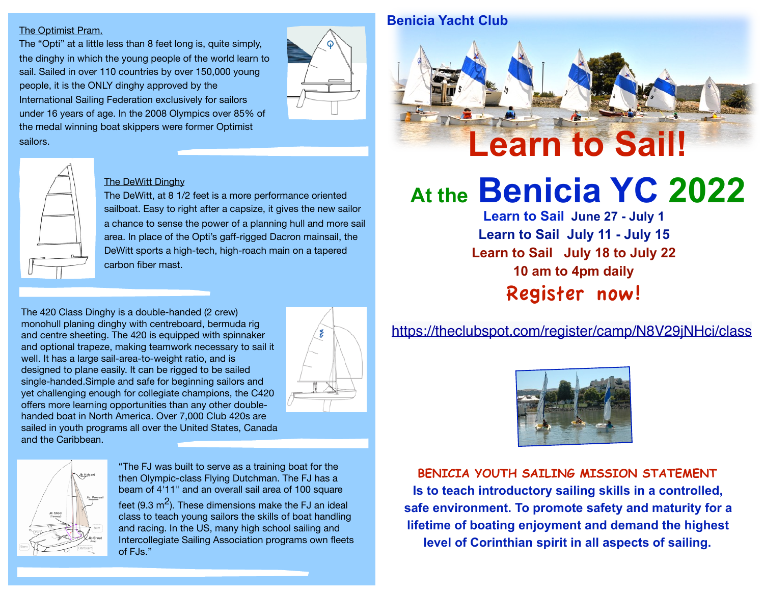#### The Optimist Pram.

The "Opti" at a little less than 8 feet long is, quite simply, the dinghy in which the young people of the world learn to sail. Sailed in over 110 countries by over 150,000 young people, it is the ONLY dinghy approved by the International Sailing Federation exclusively for sailors under 16 years of age. In the 2008 Olympics over 85% of the medal winning boat skippers were former Optimist sailors.



#### The DeWitt Dinghy

The DeWitt, at 8 1/2 feet is a more performance oriented sailboat. Easy to right after a capsize, it gives the new sailor a chance to sense the power of a planning hull and more sail area. In place of the Opti's gaff-rigged Dacron mainsail, the DeWitt sports a high-tech, high-roach main on a tapered carbon fiber mast.

The 420 Class Dinghy is a double-handed (2 crew) monohull planing dinghy with centreboard, bermuda rig and centre sheeting. The 420 is equipped with spinnaker and optional trapeze, making teamwork necessary to sail it well. It has a large sail-area-to-weight ratio, and is designed to plane easily. It can be rigged to be sailed single-handed.Simple and safe for beginning sailors and yet challenging enough for collegiate champions, the C420 offers more learning opportunities than any other doublehanded boat in North America. Over 7,000 Club 420s are sailed in youth programs all over the United States, Canada and the Caribbean.





"The FJ was built to serve as a training boat for the then Olympic-class Flying Dutchman. The FJ has a beam of 4'11" and an overall sail area of 100 square

feet (9.3  $\mathrm{m}^2$ ). These dimensions make the FJ an ideal class to teach young sailors the skills of boat handling and racing. In the US, many high school sailing and Intercollegiate Sailing Association programs own fleets of FJs."



# **At the Benicia YC 2022**

**Learn to Sail June 27 - July 1 Learn to Sail July 11 - July 15 Learn to Sail July 18 to July 22 10 am to 4pm daily** Register now!

#### https://theclubspot.com/register/camp/N8V29jNHci/class



**BENICIA YOUTH SAILING MISSION STATEMENT Is to teach introductory sailing skills in a controlled, safe environment. To promote safety and maturity for a lifetime of boating enjoyment and demand the highest level of Corinthian spirit in all aspects of sailing.**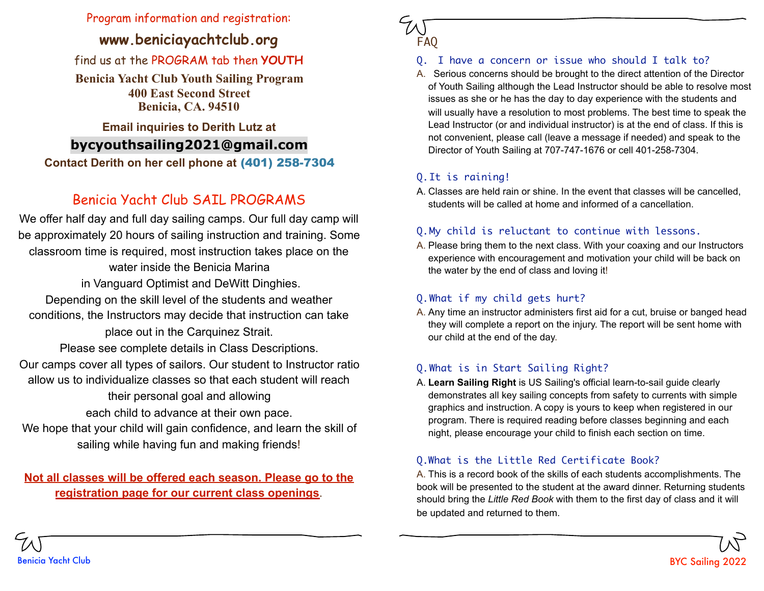#### Program information and registration:

#### **www.beniciayachtclub.org**

#### find us at the PROGRAM tab then **YOUTH**

**Benicia Yacht Club Youth Sailing Program 400 East Second Street Benicia, CA. 94510** 

#### **Email inquiries to Derith Lutz at**

#### **bycyouthsailing2021@gmail.com**

**Contact Derith on her cell phone at** (401) 258-7304

### Benicia Yacht Club SAIL PROGRAMS

**Serving Sizes** classroom time is required, most instruction takes place on the We offer half day and full day sailing camps. Our full day camp will be approximately 20 hours of sailing instruction and training. Some water inside the Benicia Marina in Vanguard Optimist and DeWitt Dinghies. Depending on the skill level of the students and weather conditions, the Instructors may decide that instruction can take place out in the Carquinez Strait. Please see complete details in Class Descriptions. Our camps cover all types of sailors. Our student to Instructor ratio allow us to individualize classes so that each student will reach their personal goal and allowing each child to advance at their own pace. We hope that your child will gain confidence, and learn the skill of sailing while having fun and making friends!

#### **Not all classes will be offered each season. Please go to the registration page for our current class openings**.

# FAQ

#### Q. I have a concern or issue who should I talk to?

A. Serious concerns should be brought to the direct attention of the Director of Youth Sailing although the Lead Instructor should be able to resolve most issues as she or he has the day to day experience with the students and will usually have a resolution to most problems. The best time to speak the Lead Instructor (or and individual instructor) is at the end of class. If this is not convenient, please call (leave a message if needed) and speak to the Director of Youth Sailing at 707-747-1676 or cell 401-258-7304.

#### Q.It is raining!

A. Classes are held rain or shine. In the event that classes will be cancelled, students will be called at home and informed of a cancellation.

#### Q.My child is reluctant to continue with lessons.

A. Please bring them to the next class. With your coaxing and our Instructors experience with encouragement and motivation your child will be back on the water by the end of class and loving it!

#### Q.What if my child gets hurt?

A. Any time an instructor administers first aid for a cut, bruise or banged head they will complete a report on the injury. The report will be sent home with our child at the end of the day.

#### Q.What is in Start Sailing Right?

A. **Learn Sailing Right** is US Sailing's official learn-to-sail guide clearly demonstrates all key sailing concepts from safety to currents with simple graphics and instruction. A copy is yours to keep when registered in our program. There is required reading before classes beginning and each night, please encourage your child to finish each section on time.

#### Q.What is the Little Red Certificate Book?

A. This is a record book of the skills of each students accomplishments. The book will be presented to the student at the award dinner. Returning students should bring the *Little Red Book* with them to the first day of class and it will be updated and returned to them.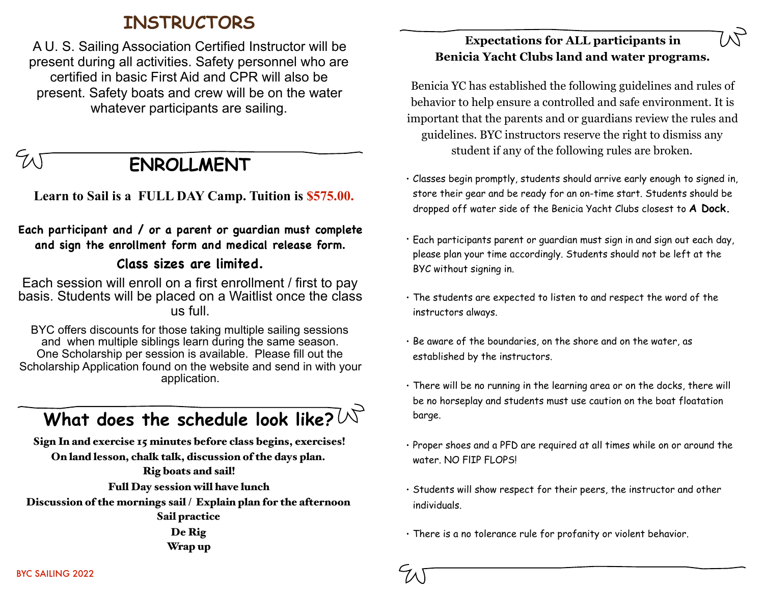### **INSTRUCTORS**

A U. S. Sailing Association Certified Instructor will be present during all activities. Safety personnel who are certified in basic First Aid and CPR will also be present. Safety boats and crew will be on the water whatever participants are sailing.

**ENROLLMENT** 

 **Learn to Sail is a FULL DAY Camp. Tuition is \$575.00.**

**Each participant and / or a parent or guardian must complete and sign the enrollment form and medical release form.**

#### **Class sizes are limited.**

Each session will enroll on a first enrollment / first to pay basis. Students will be placed on a Waitlist once the class us full.

BYC offers discounts for those taking multiple sailing sessions and when multiple siblings learn during the same season. One Scholarship per session is available. Please fill out the Scholarship Application found on the website and send in with your application.

## What does the schedule look like?  $\forall$

Sign In and exercise 15 minutes before class begins, exercises! On land lesson, chalk talk, discussion of the days plan. Rig boats and sail! Full Day session will have lunch Discussion of the mornings sail / Explain plan for the afternoon Sail practice

De Rig Wrap up

#### **Expectations for ALL participants in Benicia Yacht Clubs land and water programs.**

Benicia YC has established the following guidelines and rules of behavior to help ensure a controlled and safe environment. It is important that the parents and or guardians review the rules and guidelines. BYC instructors reserve the right to dismiss any student if any of the following rules are broken.

- Classes begin promptly, students should arrive early enough to signed in, store their gear and be ready for an on-time start. Students should be dropped off water side of the Benicia Yacht Clubs closest to **A Dock.**
- Each participants parent or guardian must sign in and sign out each day, please plan your time accordingly. Students should not be left at the BYC without signing in.
- The students are expected to listen to and respect the word of the instructors always.
- Be aware of the boundaries, on the shore and on the water, as established by the instructors.
- There will be no running in the learning area or on the docks, there will be no horseplay and students must use caution on the boat floatation barge.
- Proper shoes and a PFD are required at all times while on or around the water. NO FlIP FLOPS!
- Students will show respect for their peers, the instructor and other individuals.
- There is a no tolerance rule for profanity or violent behavior.

BYC SAILING 2022

 $5/10$